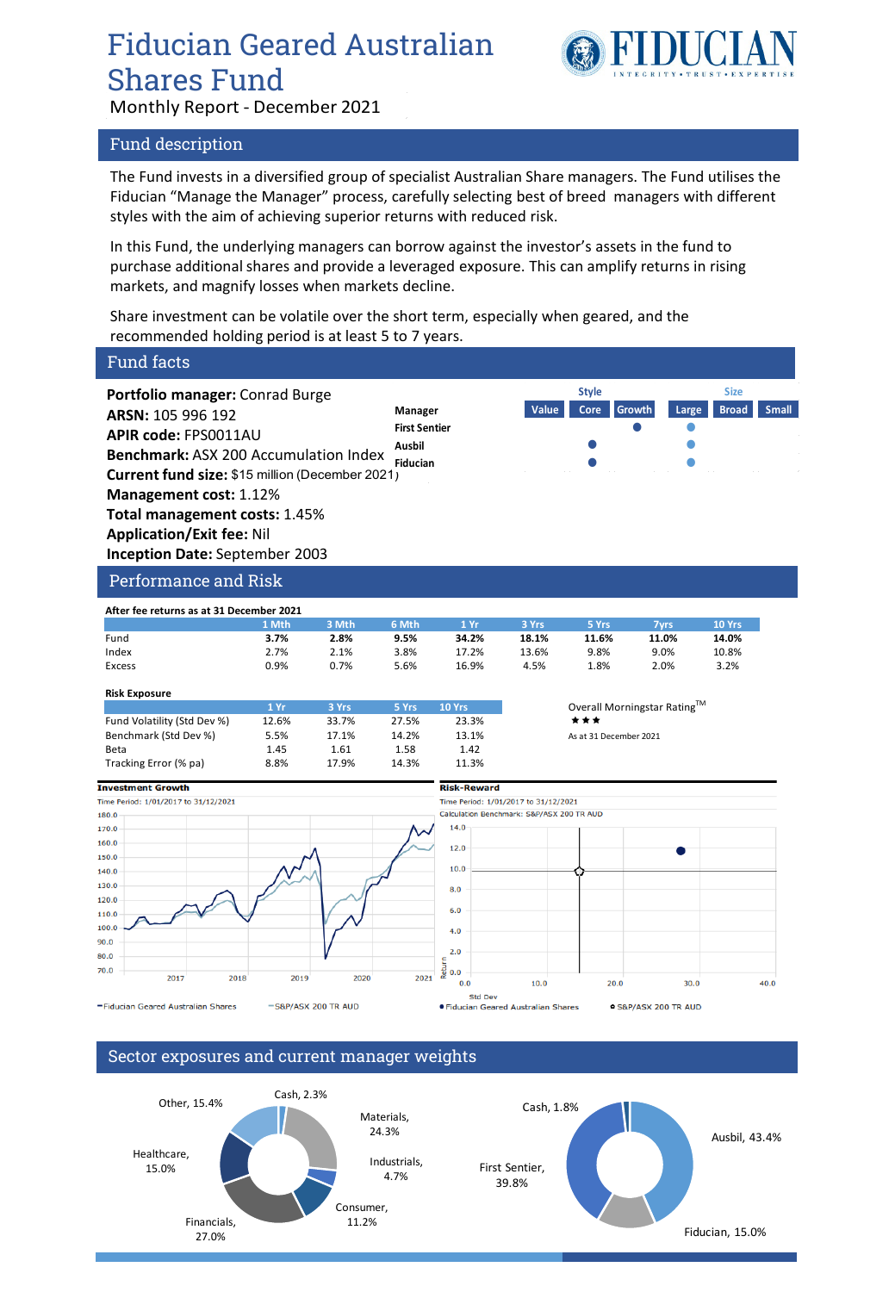## Fiducian Geared Australian Shares Fund



Monthly Report - December 2021

### Fund description

The Fund invests in a diversified group of specialist Australian Share managers. The Fund utilises the Fiducian "Manage the Manager" process, carefully selecting best of breed managers with different styles with the aim of achieving superior returns with reduced risk.

In this Fund, the underlying managers can borrow against the investor's assets in the fund to purchase additional shares and provide a leveraged exposure. This can amplify returns in rising markets, and magnify losses when markets decline.

Share investment can be volatile over the short term, especially when geared, and the recommended holding period is at least 5 to 7 years.

#### Fund facts **Portfolio manager:** Conrad Burge **Style SizeARSN:** 105 996 192 **Manager Value Core Growth Large Broad Small First Sentier APIR code:** FPS0011AU **Ausbil Benchmark:** ASX 200 Accumulation Index **Fiducian Current fund size:** \$15 million (December 2021) **Management cost:** 1.12% **Total management costs:** 1.45% **Application/Exit fee:** Nil **Inception Date:** September 2003 Performance and Risk **After fee returns as at 31 December 2021 1 Mth 3 Mth 6 Mth 1 Yr 3 Yrs 5 Yrs 7yrs 10 Yrs** Fund **3.7% 2.8% 9.5% 34.2% 18.1% 11.6% 11.0% 14.0%** Index 2.7% 2.1% 3.8% 17.2% 13.6% 9.8% 9.0% 10.8% Excess 0.9% 0.7% 5.6% 16.9% 4.5% 1.8% 2.0% 3.2% **Risk Exposure** 1 Yr **3 Yrs** 5 Yrs 10 Yrs Overall Morningstar Rating<sup>TM</sup> Fund Volatility (Std Dev %) 12.6% 33.7% 27.5% 23.3% Benchmark (Std Dev %) 5.5% 17.1% 14.2% 13.1% As at 31 December 2021 Beta 1.45 1.61 1.58 1.42 Tracking Error (% pa) 8.8% 17.9% 14.3% 11.3% **Investment Growth Dick-Reward** Time Period: 1/01/2017 to 31/12/2021 Time Period: 1/01/2017 to 31/12/2021 180.0 Calculation Benchmark: S&P/ASX 200 TR AUD 14.0 170.0 160.0  $12.0$ 150.0 10.0 140.0 130.0  $8.0$ 120.0  $6.0$ 110.0 100.0  $4.0$ 90.0  $2.0$ 80.0 70.0 ÿ  $0.0$ 2017 2018 2019 2020 2021  $40.0$  $0.0$  $10.0$ 20.0 30.0 Std Dev

-Fiducian Geared Australian Shares

-S&P/ASX 200 TR AUD

### Sector exposures and current manager weights



· Fiducian Geared Australian Shares

· S&P/ASX 200 TR AUD